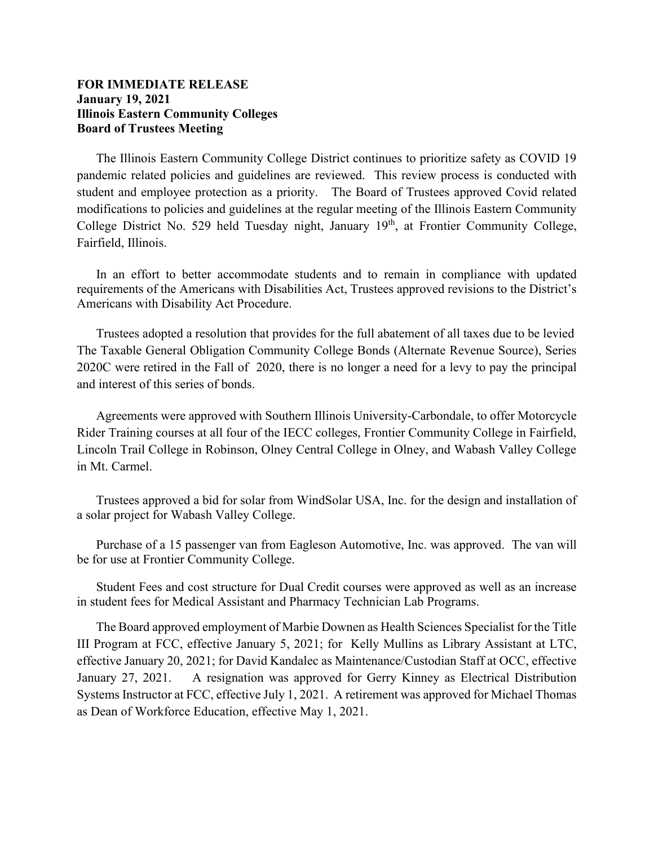## **FOR IMMEDIATE RELEASE January 19, 2021 Illinois Eastern Community Colleges Board of Trustees Meeting**

The Illinois Eastern Community College District continues to prioritize safety as COVID 19 pandemic related policies and guidelines are reviewed. This review process is conducted with student and employee protection as a priority. The Board of Trustees approved Covid related modifications to policies and guidelines at the regular meeting of the Illinois Eastern Community College District No. 529 held Tuesday night, January 19<sup>th</sup>, at Frontier Community College, Fairfield, Illinois.

In an effort to better accommodate students and to remain in compliance with updated requirements of the Americans with Disabilities Act, Trustees approved revisions to the District's Americans with Disability Act Procedure.

Trustees adopted a resolution that provides for the full abatement of all taxes due to be levied The Taxable General Obligation Community College Bonds (Alternate Revenue Source), Series 2020C were retired in the Fall of 2020, there is no longer a need for a levy to pay the principal and interest of this series of bonds.

Agreements were approved with Southern Illinois University-Carbondale, to offer Motorcycle Rider Training courses at all four of the IECC colleges, Frontier Community College in Fairfield, Lincoln Trail College in Robinson, Olney Central College in Olney, and Wabash Valley College in Mt. Carmel.

Trustees approved a bid for solar from WindSolar USA, Inc. for the design and installation of a solar project for Wabash Valley College.

Purchase of a 15 passenger van from Eagleson Automotive, Inc. was approved. The van will be for use at Frontier Community College.

Student Fees and cost structure for Dual Credit courses were approved as well as an increase in student fees for Medical Assistant and Pharmacy Technician Lab Programs.

The Board approved employment of Marbie Downen as Health Sciences Specialist for the Title III Program at FCC, effective January 5, 2021; for Kelly Mullins as Library Assistant at LTC, effective January 20, 2021; for David Kandalec as Maintenance/Custodian Staff at OCC, effective January 27, 2021. A resignation was approved for Gerry Kinney as Electrical Distribution Systems Instructor at FCC, effective July 1, 2021. A retirement was approved for Michael Thomas as Dean of Workforce Education, effective May 1, 2021.